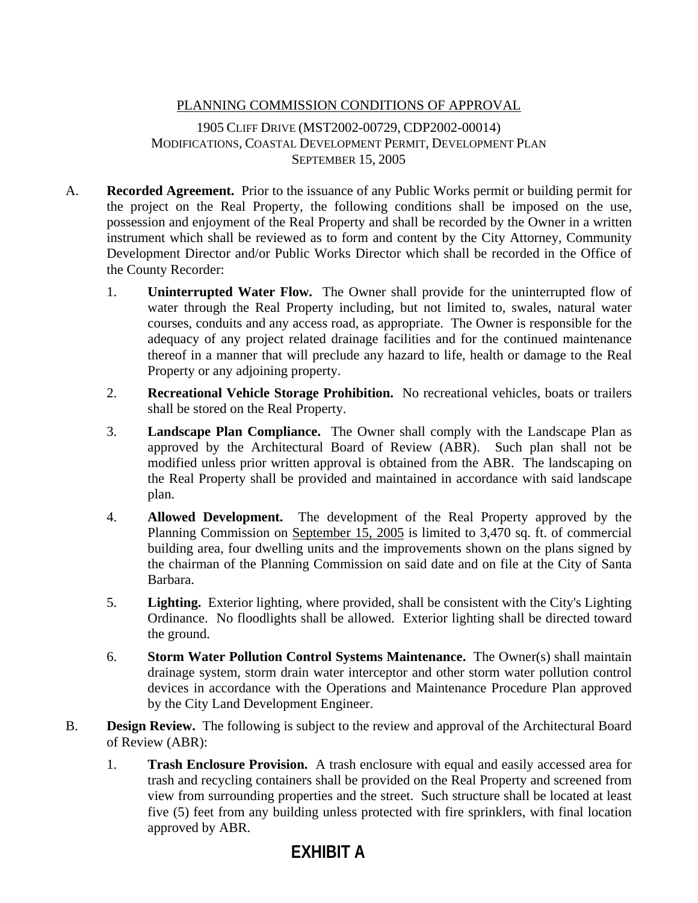## PLANNING COMMISSION CONDITIONS OF APPROVAL

1905 CLIFF DRIVE (MST2002-00729, CDP2002-00014) MODIFICATIONS, COASTAL DEVELOPMENT PERMIT, DEVELOPMENT PLAN SEPTEMBER 15, 2005

- A. **Recorded Agreement.** Prior to the issuance of any Public Works permit or building permit for the project on the Real Property, the following conditions shall be imposed on the use, possession and enjoyment of the Real Property and shall be recorded by the Owner in a written instrument which shall be reviewed as to form and content by the City Attorney, Community Development Director and/or Public Works Director which shall be recorded in the Office of the County Recorder:
	- 1. **Uninterrupted Water Flow.** The Owner shall provide for the uninterrupted flow of water through the Real Property including, but not limited to, swales, natural water courses, conduits and any access road, as appropriate. The Owner is responsible for the adequacy of any project related drainage facilities and for the continued maintenance thereof in a manner that will preclude any hazard to life, health or damage to the Real Property or any adjoining property.
	- 2. **Recreational Vehicle Storage Prohibition.** No recreational vehicles, boats or trailers shall be stored on the Real Property.
	- 3. **Landscape Plan Compliance.** The Owner shall comply with the Landscape Plan as approved by the Architectural Board of Review (ABR). Such plan shall not be modified unless prior written approval is obtained from the ABR. The landscaping on the Real Property shall be provided and maintained in accordance with said landscape plan.
	- 4. **Allowed Development.** The development of the Real Property approved by the Planning Commission on September 15, 2005 is limited to 3,470 sq. ft. of commercial building area, four dwelling units and the improvements shown on the plans signed by the chairman of the Planning Commission on said date and on file at the City of Santa Barbara.
	- 5. **Lighting.** Exterior lighting, where provided, shall be consistent with the City's Lighting Ordinance. No floodlights shall be allowed. Exterior lighting shall be directed toward the ground.
	- 6. **Storm Water Pollution Control Systems Maintenance.** The Owner(s) shall maintain drainage system, storm drain water interceptor and other storm water pollution control devices in accordance with the Operations and Maintenance Procedure Plan approved by the City Land Development Engineer.
- B. **Design Review.** The following is subject to the review and approval of the Architectural Board of Review (ABR):
	- 1. **Trash Enclosure Provision.** A trash enclosure with equal and easily accessed area for trash and recycling containers shall be provided on the Real Property and screened from view from surrounding properties and the street. Such structure shall be located at least five (5) feet from any building unless protected with fire sprinklers, with final location approved by ABR.

# **EXHIBIT A**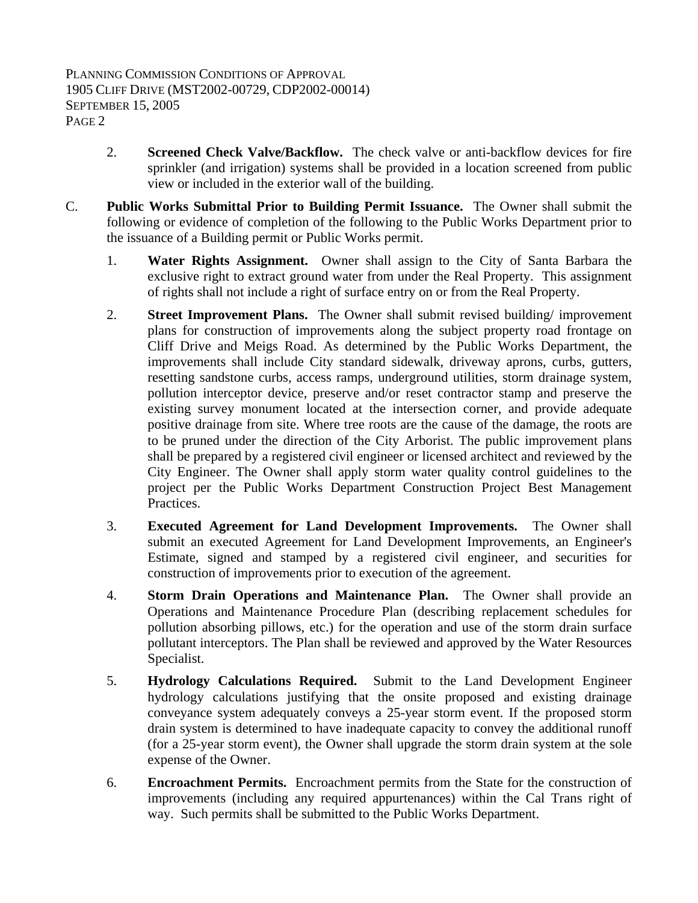- 2. **Screened Check Valve/Backflow.** The check valve or anti-backflow devices for fire sprinkler (and irrigation) systems shall be provided in a location screened from public view or included in the exterior wall of the building.
- C. **Public Works Submittal Prior to Building Permit Issuance.** The Owner shall submit the following or evidence of completion of the following to the Public Works Department prior to the issuance of a Building permit or Public Works permit.
	- 1. **Water Rights Assignment.** Owner shall assign to the City of Santa Barbara the exclusive right to extract ground water from under the Real Property. This assignment of rights shall not include a right of surface entry on or from the Real Property.
	- 2. **Street Improvement Plans.** The Owner shall submit revised building/ improvement plans for construction of improvements along the subject property road frontage on Cliff Drive and Meigs Road. As determined by the Public Works Department, the improvements shall include City standard sidewalk, driveway aprons, curbs, gutters, resetting sandstone curbs, access ramps, underground utilities, storm drainage system, pollution interceptor device, preserve and/or reset contractor stamp and preserve the existing survey monument located at the intersection corner, and provide adequate positive drainage from site. Where tree roots are the cause of the damage, the roots are to be pruned under the direction of the City Arborist. The public improvement plans shall be prepared by a registered civil engineer or licensed architect and reviewed by the City Engineer. The Owner shall apply storm water quality control guidelines to the project per the Public Works Department Construction Project Best Management Practices.
	- 3. **Executed Agreement for Land Development Improvements.** The Owner shall submit an executed Agreement for Land Development Improvements, an Engineer's Estimate, signed and stamped by a registered civil engineer, and securities for construction of improvements prior to execution of the agreement.
	- 4. **Storm Drain Operations and Maintenance Plan.** The Owner shall provide an Operations and Maintenance Procedure Plan (describing replacement schedules for pollution absorbing pillows, etc.) for the operation and use of the storm drain surface pollutant interceptors. The Plan shall be reviewed and approved by the Water Resources Specialist.
	- 5. **Hydrology Calculations Required.** Submit to the Land Development Engineer hydrology calculations justifying that the onsite proposed and existing drainage conveyance system adequately conveys a 25-year storm event. If the proposed storm drain system is determined to have inadequate capacity to convey the additional runoff (for a 25-year storm event), the Owner shall upgrade the storm drain system at the sole expense of the Owner.
	- 6. **Encroachment Permits.** Encroachment permits from the State for the construction of improvements (including any required appurtenances) within the Cal Trans right of way. Such permits shall be submitted to the Public Works Department.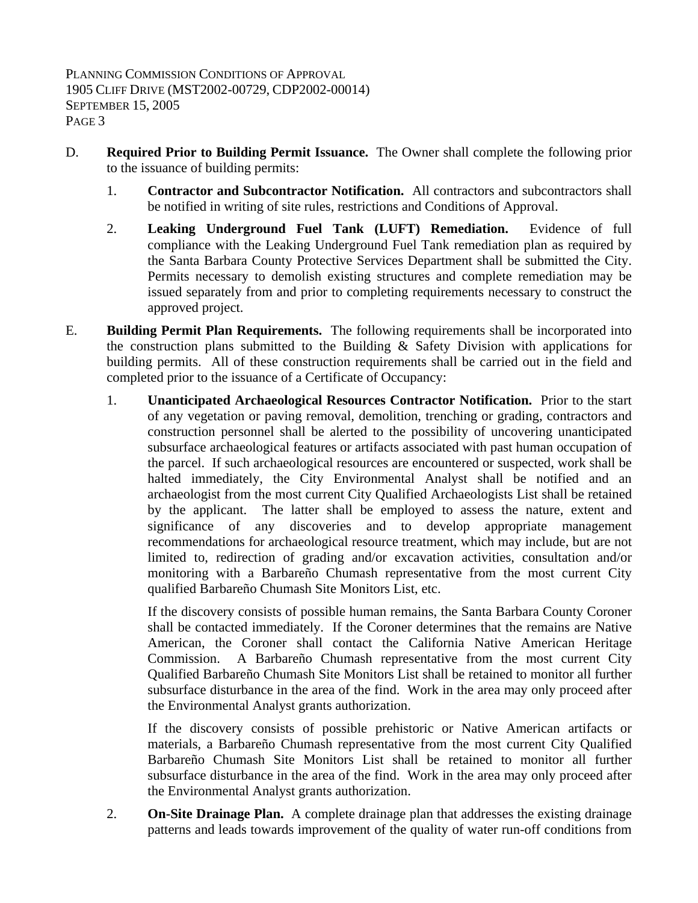- D. **Required Prior to Building Permit Issuance.** The Owner shall complete the following prior to the issuance of building permits:
	- 1. **Contractor and Subcontractor Notification.** All contractors and subcontractors shall be notified in writing of site rules, restrictions and Conditions of Approval.
	- 2. **Leaking Underground Fuel Tank (LUFT) Remediation.** Evidence of full compliance with the Leaking Underground Fuel Tank remediation plan as required by the Santa Barbara County Protective Services Department shall be submitted the City. Permits necessary to demolish existing structures and complete remediation may be issued separately from and prior to completing requirements necessary to construct the approved project.
- E. **Building Permit Plan Requirements.** The following requirements shall be incorporated into the construction plans submitted to the Building  $\&$  Safety Division with applications for building permits. All of these construction requirements shall be carried out in the field and completed prior to the issuance of a Certificate of Occupancy:
	- 1. **Unanticipated Archaeological Resources Contractor Notification.** Prior to the start of any vegetation or paving removal, demolition, trenching or grading, contractors and construction personnel shall be alerted to the possibility of uncovering unanticipated subsurface archaeological features or artifacts associated with past human occupation of the parcel. If such archaeological resources are encountered or suspected, work shall be halted immediately, the City Environmental Analyst shall be notified and an archaeologist from the most current City Qualified Archaeologists List shall be retained by the applicant. The latter shall be employed to assess the nature, extent and significance of any discoveries and to develop appropriate management recommendations for archaeological resource treatment, which may include, but are not limited to, redirection of grading and/or excavation activities, consultation and/or monitoring with a Barbareño Chumash representative from the most current City qualified Barbareño Chumash Site Monitors List, etc.

If the discovery consists of possible human remains, the Santa Barbara County Coroner shall be contacted immediately. If the Coroner determines that the remains are Native American, the Coroner shall contact the California Native American Heritage Commission. A Barbareño Chumash representative from the most current City Qualified Barbareño Chumash Site Monitors List shall be retained to monitor all further subsurface disturbance in the area of the find. Work in the area may only proceed after the Environmental Analyst grants authorization.

If the discovery consists of possible prehistoric or Native American artifacts or materials, a Barbareño Chumash representative from the most current City Qualified Barbareño Chumash Site Monitors List shall be retained to monitor all further subsurface disturbance in the area of the find. Work in the area may only proceed after the Environmental Analyst grants authorization.

2. **On-Site Drainage Plan.** A complete drainage plan that addresses the existing drainage patterns and leads towards improvement of the quality of water run-off conditions from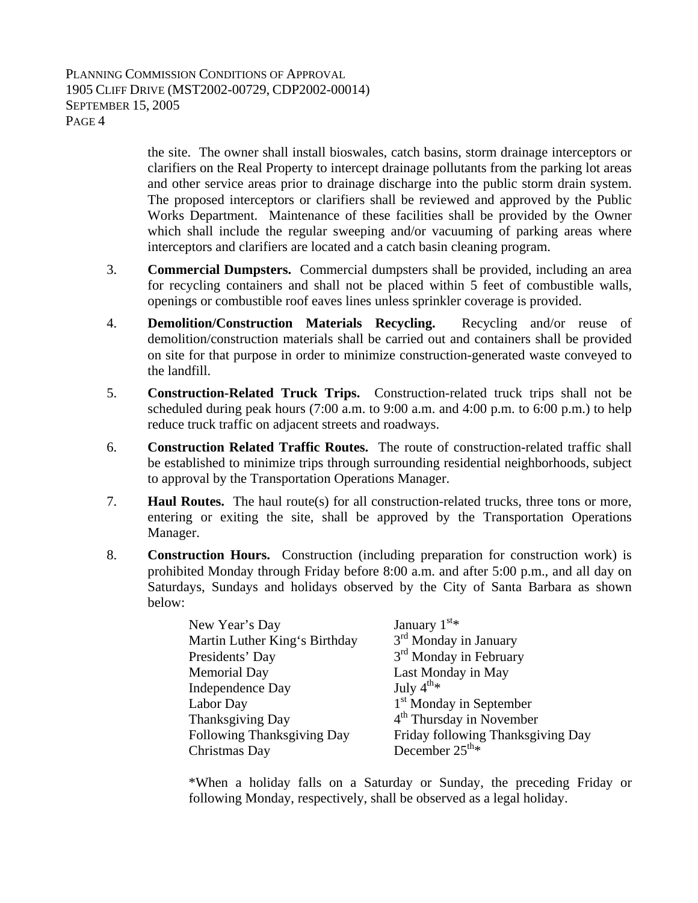the site. The owner shall install bioswales, catch basins, storm drainage interceptors or clarifiers on the Real Property to intercept drainage pollutants from the parking lot areas and other service areas prior to drainage discharge into the public storm drain system. The proposed interceptors or clarifiers shall be reviewed and approved by the Public Works Department. Maintenance of these facilities shall be provided by the Owner which shall include the regular sweeping and/or vacuuming of parking areas where interceptors and clarifiers are located and a catch basin cleaning program.

- 3. **Commercial Dumpsters.** Commercial dumpsters shall be provided, including an area for recycling containers and shall not be placed within 5 feet of combustible walls, openings or combustible roof eaves lines unless sprinkler coverage is provided.
- 4. **Demolition/Construction Materials Recycling.** Recycling and/or reuse of demolition/construction materials shall be carried out and containers shall be provided on site for that purpose in order to minimize construction-generated waste conveyed to the landfill.
- 5. **Construction-Related Truck Trips.** Construction-related truck trips shall not be scheduled during peak hours (7:00 a.m. to 9:00 a.m. and 4:00 p.m. to 6:00 p.m.) to help reduce truck traffic on adjacent streets and roadways.
- 6. **Construction Related Traffic Routes.** The route of construction-related traffic shall be established to minimize trips through surrounding residential neighborhoods, subject to approval by the Transportation Operations Manager.
- 7. **Haul Routes.** The haul route(s) for all construction-related trucks, three tons or more, entering or exiting the site, shall be approved by the Transportation Operations Manager.
- 8. **Construction Hours.** Construction (including preparation for construction work) is prohibited Monday through Friday before 8:00 a.m. and after 5:00 p.m., and all day on Saturdays, Sundays and holidays observed by the City of Santa Barbara as shown below:

| New Year's Day                | January $1st$ *                      |
|-------------------------------|--------------------------------------|
| Martin Luther King's Birthday | $3rd$ Monday in January              |
| Presidents' Day               | 3 <sup>rd</sup> Monday in February   |
| <b>Memorial Day</b>           | Last Monday in May                   |
| Independence Day              | July $4^{\text{th}_{*}}$             |
| Labor Day                     | 1 <sup>st</sup> Monday in September  |
| Thanksgiving Day              | 4 <sup>th</sup> Thursday in November |
| Following Thanksgiving Day    | Friday following Thanksgiving Day    |
| Christmas Day                 | December $25^{\text{th}_{*}}$        |

 \*When a holiday falls on a Saturday or Sunday, the preceding Friday or following Monday, respectively, shall be observed as a legal holiday.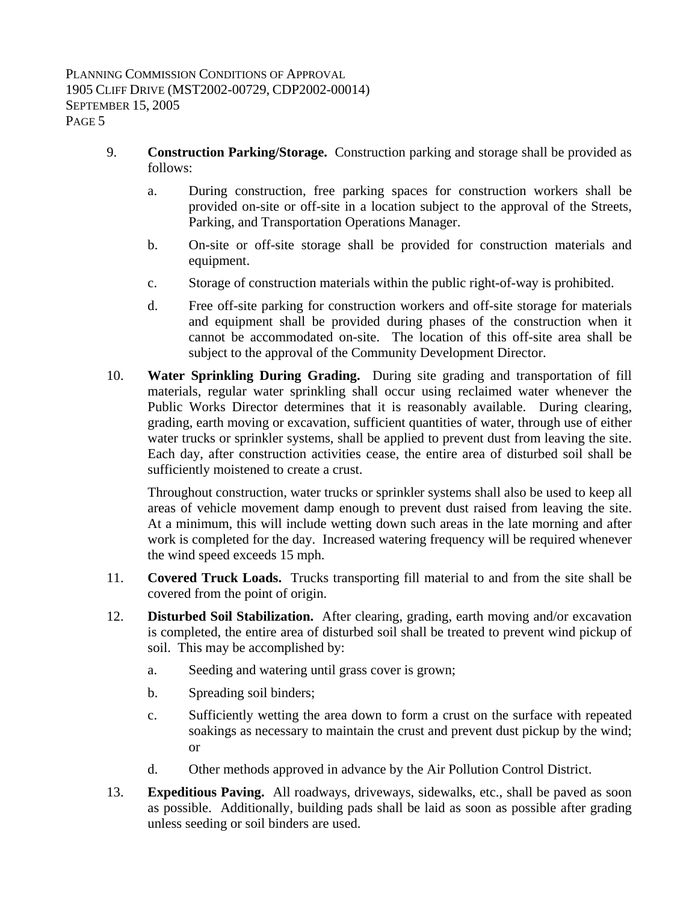- 9. **Construction Parking/Storage.** Construction parking and storage shall be provided as follows:
	- a. During construction, free parking spaces for construction workers shall be provided on-site or off-site in a location subject to the approval of the Streets, Parking, and Transportation Operations Manager.
	- b. On-site or off-site storage shall be provided for construction materials and equipment.
	- c. Storage of construction materials within the public right-of-way is prohibited.
	- d. Free off-site parking for construction workers and off-site storage for materials and equipment shall be provided during phases of the construction when it cannot be accommodated on-site. The location of this off-site area shall be subject to the approval of the Community Development Director.
- 10. **Water Sprinkling During Grading.** During site grading and transportation of fill materials, regular water sprinkling shall occur using reclaimed water whenever the Public Works Director determines that it is reasonably available. During clearing, grading, earth moving or excavation, sufficient quantities of water, through use of either water trucks or sprinkler systems, shall be applied to prevent dust from leaving the site. Each day, after construction activities cease, the entire area of disturbed soil shall be sufficiently moistened to create a crust.

Throughout construction, water trucks or sprinkler systems shall also be used to keep all areas of vehicle movement damp enough to prevent dust raised from leaving the site. At a minimum, this will include wetting down such areas in the late morning and after work is completed for the day. Increased watering frequency will be required whenever the wind speed exceeds 15 mph.

- 11. **Covered Truck Loads.** Trucks transporting fill material to and from the site shall be covered from the point of origin.
- 12. **Disturbed Soil Stabilization.** After clearing, grading, earth moving and/or excavation is completed, the entire area of disturbed soil shall be treated to prevent wind pickup of soil. This may be accomplished by:
	- a. Seeding and watering until grass cover is grown;
	- b. Spreading soil binders;
	- c. Sufficiently wetting the area down to form a crust on the surface with repeated soakings as necessary to maintain the crust and prevent dust pickup by the wind; or
	- d. Other methods approved in advance by the Air Pollution Control District.
- 13. **Expeditious Paving.** All roadways, driveways, sidewalks, etc., shall be paved as soon as possible. Additionally, building pads shall be laid as soon as possible after grading unless seeding or soil binders are used.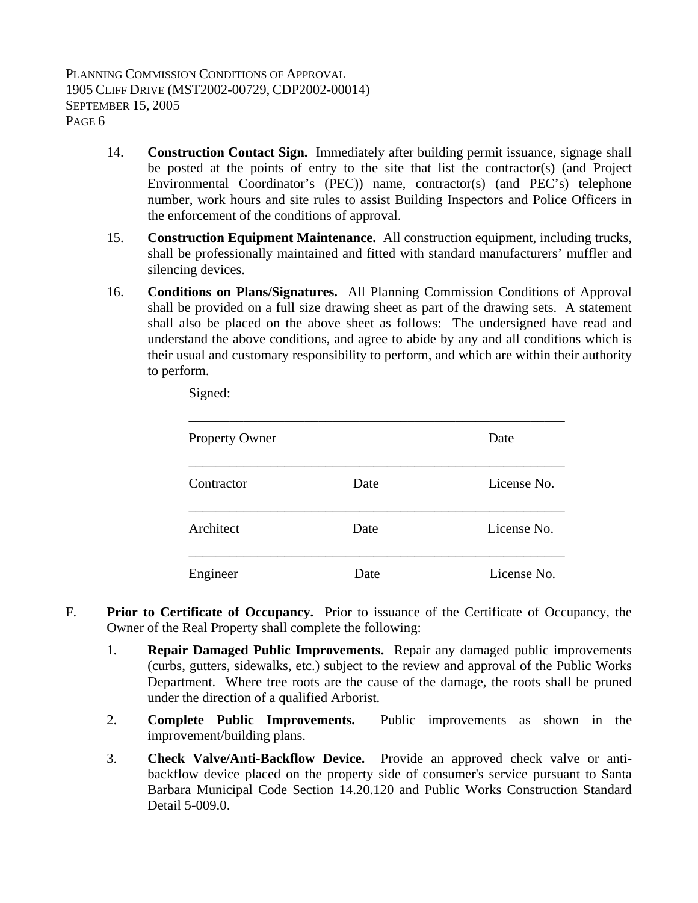- 14. **Construction Contact Sign.** Immediately after building permit issuance, signage shall be posted at the points of entry to the site that list the contractor(s) (and Project Environmental Coordinator's (PEC)) name, contractor(s) (and PEC's) telephone number, work hours and site rules to assist Building Inspectors and Police Officers in the enforcement of the conditions of approval.
- 15. **Construction Equipment Maintenance.** All construction equipment, including trucks, shall be professionally maintained and fitted with standard manufacturers' muffler and silencing devices.
- 16. **Conditions on Plans/Signatures.** All Planning Commission Conditions of Approval shall be provided on a full size drawing sheet as part of the drawing sets. A statement shall also be placed on the above sheet as follows: The undersigned have read and understand the above conditions, and agree to abide by any and all conditions which is their usual and customary responsibility to perform, and which are within their authority to perform.

| <b>Property Owner</b> |      | Date        |
|-----------------------|------|-------------|
| Contractor            | Date | License No. |
| Architect             | Date | License No. |
| Engineer              | Date | License No. |

Signed:

- F. **Prior to Certificate of Occupancy.** Prior to issuance of the Certificate of Occupancy, the Owner of the Real Property shall complete the following:
	- 1. **Repair Damaged Public Improvements.** Repair any damaged public improvements (curbs, gutters, sidewalks, etc.) subject to the review and approval of the Public Works Department. Where tree roots are the cause of the damage, the roots shall be pruned under the direction of a qualified Arborist.
	- 2. **Complete Public Improvements.** Public improvements as shown in the improvement/building plans.
	- 3. **Check Valve/Anti-Backflow Device.** Provide an approved check valve or antibackflow device placed on the property side of consumer's service pursuant to Santa Barbara Municipal Code Section 14.20.120 and Public Works Construction Standard Detail 5-009.0.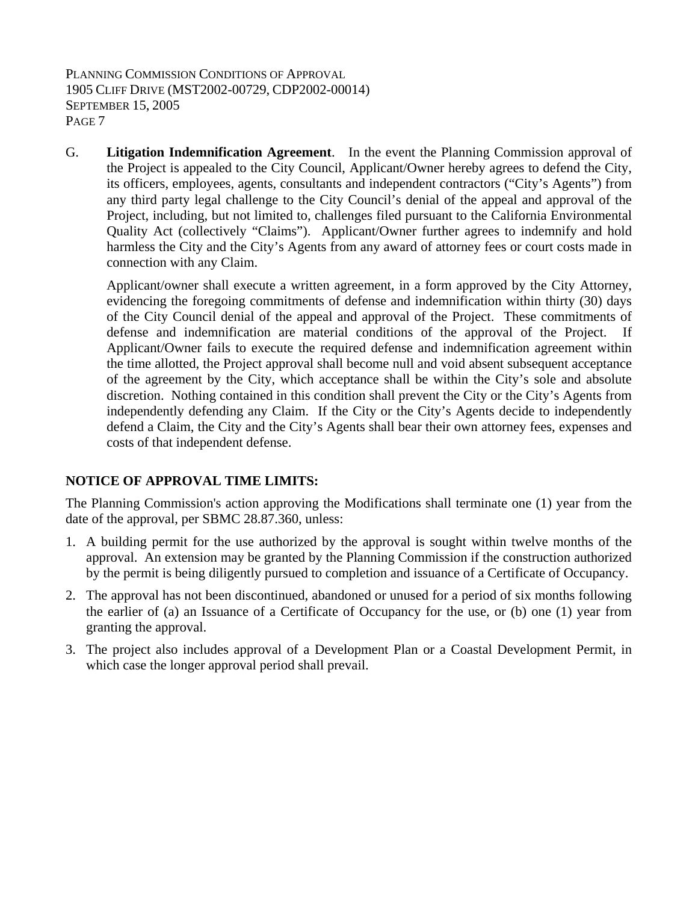G. **Litigation Indemnification Agreement**. In the event the Planning Commission approval of the Project is appealed to the City Council, Applicant/Owner hereby agrees to defend the City, its officers, employees, agents, consultants and independent contractors ("City's Agents") from any third party legal challenge to the City Council's denial of the appeal and approval of the Project, including, but not limited to, challenges filed pursuant to the California Environmental Quality Act (collectively "Claims"). Applicant/Owner further agrees to indemnify and hold harmless the City and the City's Agents from any award of attorney fees or court costs made in connection with any Claim.

Applicant/owner shall execute a written agreement, in a form approved by the City Attorney, evidencing the foregoing commitments of defense and indemnification within thirty (30) days of the City Council denial of the appeal and approval of the Project. These commitments of defense and indemnification are material conditions of the approval of the Project. If Applicant/Owner fails to execute the required defense and indemnification agreement within the time allotted, the Project approval shall become null and void absent subsequent acceptance of the agreement by the City, which acceptance shall be within the City's sole and absolute discretion. Nothing contained in this condition shall prevent the City or the City's Agents from independently defending any Claim. If the City or the City's Agents decide to independently defend a Claim, the City and the City's Agents shall bear their own attorney fees, expenses and costs of that independent defense.

#### **NOTICE OF APPROVAL TIME LIMITS:**

The Planning Commission's action approving the Modifications shall terminate one (1) year from the date of the approval, per SBMC 28.87.360, unless:

- 1. A building permit for the use authorized by the approval is sought within twelve months of the approval. An extension may be granted by the Planning Commission if the construction authorized by the permit is being diligently pursued to completion and issuance of a Certificate of Occupancy.
- 2. The approval has not been discontinued, abandoned or unused for a period of six months following the earlier of (a) an Issuance of a Certificate of Occupancy for the use, or (b) one (1) year from granting the approval.
- 3. The project also includes approval of a Development Plan or a Coastal Development Permit, in which case the longer approval period shall prevail.